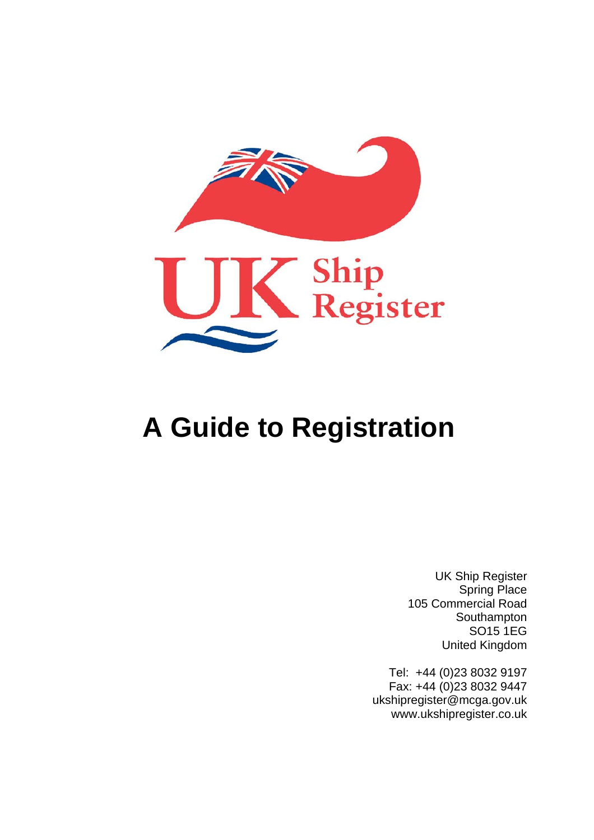

# **A Guide to Registration**

UK Ship Register Spring Place 105 Commercial Road Southampton SO15 1EG United Kingdom

 Tel: +44 (0)23 8032 9197 Fax: +44 (0)23 8032 9447 ukshipregister@mcga.gov.uk www.ukshipregister.co.uk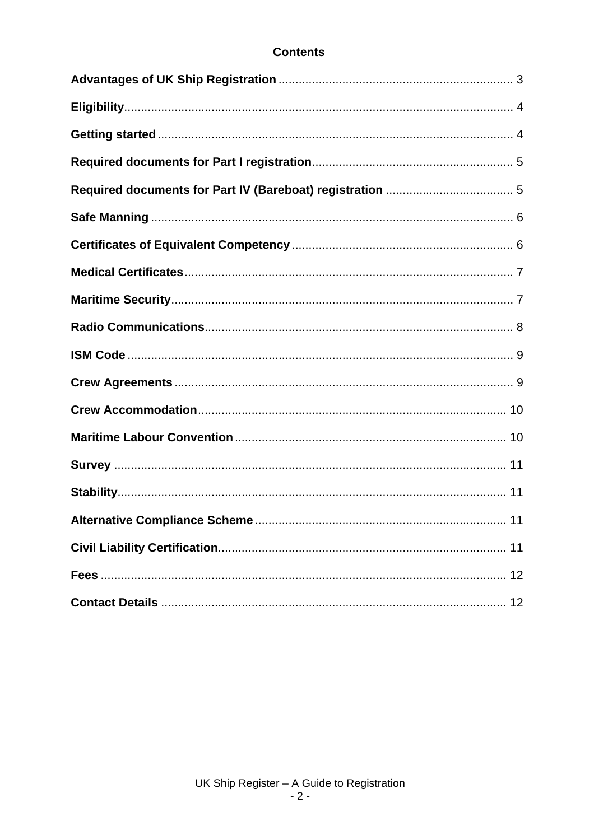## **Contents**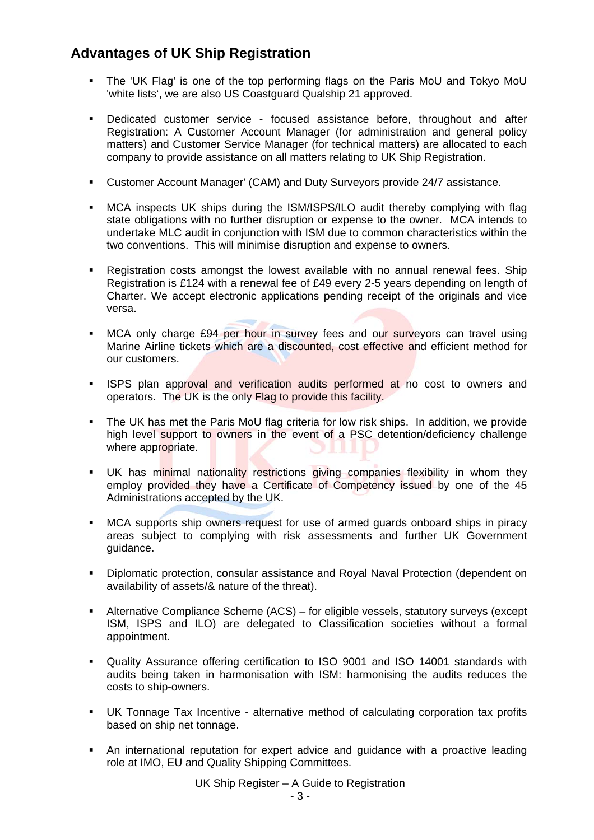# <span id="page-2-0"></span>**Advantages of UK Ship Registration**

- The 'UK Flag' is one of the top performing flags on the Paris MoU and Tokyo MoU 'white lists', we are also US Coastguard Qualship 21 approved.
- Dedicated customer service focused assistance before, throughout and after Registration: A Customer Account Manager (for administration and general policy matters) and Customer Service Manager (for technical matters) are allocated to each company to provide assistance on all matters relating to UK Ship Registration.
- Customer Account Manager' (CAM) and Duty Surveyors provide 24/7 assistance.
- MCA inspects UK ships during the ISM/ISPS/ILO audit thereby complying with flag state obligations with no further disruption or expense to the owner. MCA intends to undertake MLC audit in conjunction with ISM due to common characteristics within the two conventions. This will minimise disruption and expense to owners.
- Registration costs amongst the lowest available with no annual renewal fees. Ship Registration is £124 with a renewal fee of £49 every 2-5 years depending on length of Charter. We accept electronic applications pending receipt of the originals and vice versa.
- **MCA only charge £94 per hour in survey fees and our surveyors can travel using** Marine Airline tickets which are a discounted, cost effective and efficient method for our customers.
- **ISPS** plan approval and verification audits performed at no cost to owners and operators. The UK is the only Flag to provide this facility.
- The UK has met the Paris MoU flag criteria for low risk ships. In addition, we provide high level support to owners in the event of a PSC detention/deficiency challenge where appropriate. A.
- **UK** has minimal nationality restrictions giving companies flexibility in whom they employ provided they have a Certificate of Competency issued by one of the 45 Administrations accepted by the UK.
- MCA supports ship owners request for use of armed guards onboard ships in piracy areas subject to complying with risk assessments and further UK Government guidance.
- Diplomatic protection, consular assistance and Royal Naval Protection (dependent on availability of assets/& nature of the threat).
- Alternative Compliance Scheme (ACS) for eligible vessels, statutory surveys (except ISM, ISPS and ILO) are delegated to Classification societies without a formal appointment.
- Quality Assurance offering certification to ISO 9001 and ISO 14001 standards with audits being taken in harmonisation with ISM: harmonising the audits reduces the costs to ship-owners.
- UK Tonnage Tax Incentive alternative method of calculating corporation tax profits based on ship net tonnage.
- An international reputation for expert advice and guidance with a proactive leading role at IMO, EU and Quality Shipping Committees.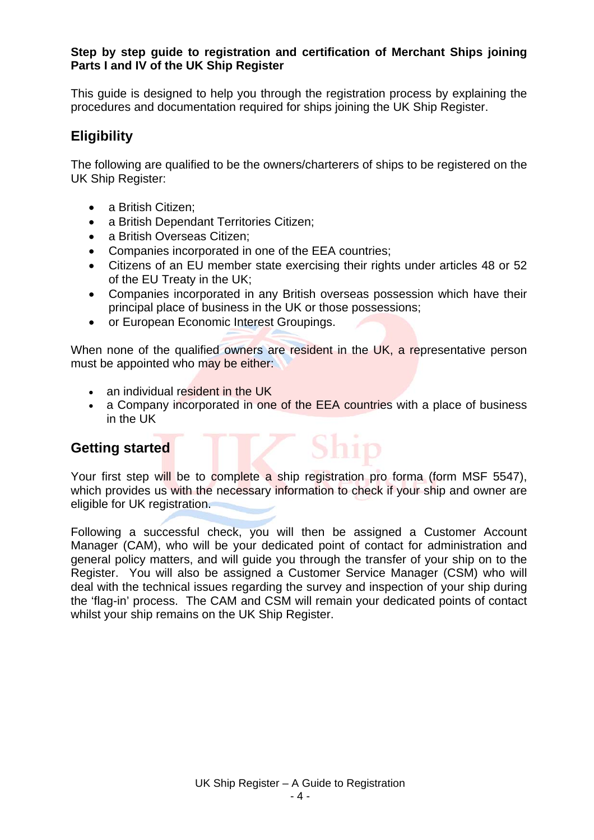#### <span id="page-3-0"></span>**Step by step guide to registration and certification of Merchant Ships joining Parts I and IV of the UK Ship Register**

This guide is designed to help you through the registration process by explaining the procedures and documentation required for ships joining the UK Ship Register.

# **Eligibility**

The following are qualified to be the owners/charterers of ships to be registered on the UK Ship Register:

- a British Citizen;
- a British Dependant Territories Citizen;
- a British Overseas Citizen:
- Companies incorporated in one of the EEA countries;
- Citizens of an EU member state exercising their rights under articles 48 or 52 of the EU Treaty in the UK;
- Companies incorporated in any British overseas possession which have their principal place of business in the UK or those possessions;
- or European Economic Interest Groupings.

When none of the qualified owners are resident in the UK, a representative person must be appointed who may be either:

- an individual resident in the UK
- a Company incorporated in one of the EEA countries with a place of business in the UK

Ship

## **Getting started**

Your first step will be to complete a ship registration pro forma (form MSF 5547), which provides us with the necessary information to check if your ship and owner are eligible for UK registration.

Following a successful check, you will then be assigned a Customer Account Manager (CAM), who will be your dedicated point of contact for administration and general policy matters, and will guide you through the transfer of your ship on to the Register. You will also be assigned a Customer Service Manager (CSM) who will deal with the technical issues regarding the survey and inspection of your ship during the 'flag-in' process. The CAM and CSM will remain your dedicated points of contact whilst your ship remains on the UK Ship Register.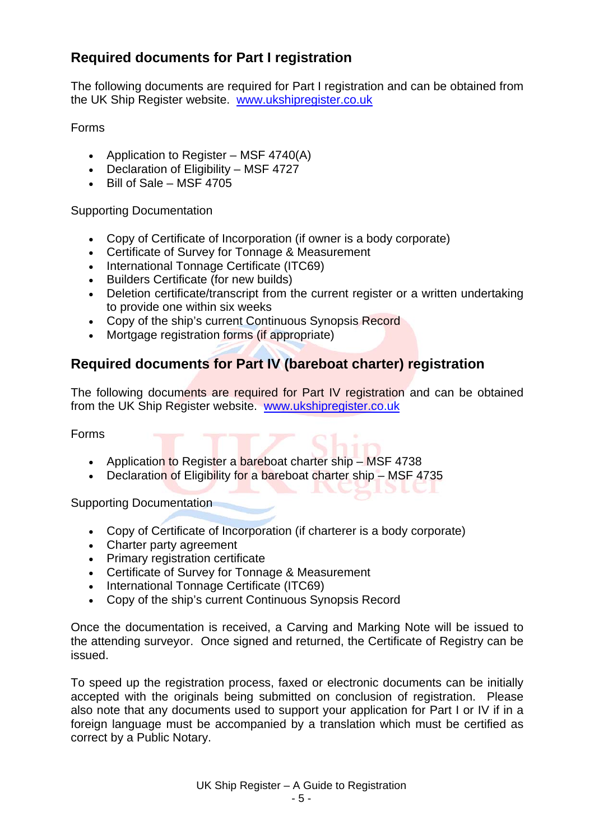# <span id="page-4-0"></span>**Required documents for Part I registration**

The following documents are required for Part I registration and can be obtained from the UK Ship Register website. [www.ukshipregister.co.uk](http://www.ukshipregister.co.uk/)

#### Forms

- Application to Register MSF 4740(A)
- Declaration of Eligibility MSF 4727
- $\bullet$  Bill of Sale MSF 4705

Supporting Documentation

- Copy of Certificate of Incorporation (if owner is a body corporate)
- Certificate of Survey for Tonnage & Measurement
- International Tonnage Certificate (ITC69)
- Builders Certificate (for new builds)
- Deletion certificate/transcript from the current register or a written undertaking to provide one within six weeks
- Copy of the ship's current Continuous Synopsis Record
- Mortgage registration forms (if appropriate)

## **Required documents for Part IV (bareboat charter) registration**

The following documents are required for Part IV registration and can be obtained from the UK Ship Register website. [www.ukshipregister.co.uk](http://www.ukshipregister.co.uk/)

**ALLEY** 

Forms

- Application to Register a bareboat charter ship MSF 4738
- Declaration of Eligibility for a bareboat charter ship MSF 4735

Supporting Documentation

- Copy of Certificate of Incorporation (if charterer is a body corporate)
- Charter party agreement
- Primary registration certificate
- Certificate of Survey for Tonnage & Measurement
- International Tonnage Certificate (ITC69)
- Copy of the ship's current Continuous Synopsis Record

Once the documentation is received, a Carving and Marking Note will be issued to the attending surveyor. Once signed and returned, the Certificate of Registry can be issued.

To speed up the registration process, faxed or electronic documents can be initially accepted with the originals being submitted on conclusion of registration. Please also note that any documents used to support your application for Part I or IV if in a foreign language must be accompanied by a translation which must be certified as correct by a Public Notary.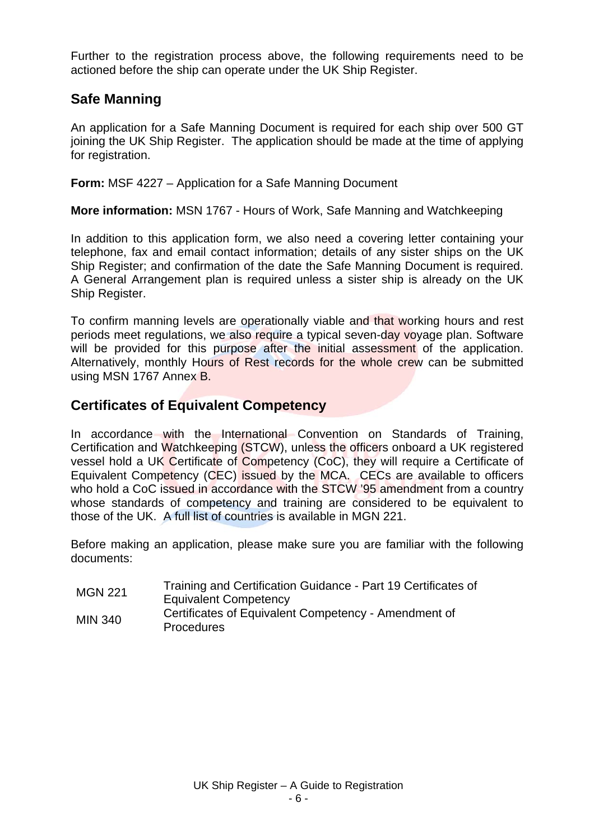<span id="page-5-0"></span>Further to the registration process above, the following requirements need to be actioned before the ship can operate under the UK Ship Register.

## **Safe Manning**

An application for a Safe Manning Document is required for each ship over 500 GT joining the UK Ship Register. The application should be made at the time of applying for registration.

**Form:** MSF 4227 – Application for a Safe Manning Document

**More information:** MSN 1767 - Hours of Work, Safe Manning and Watchkeeping

In addition to this application form, we also need a covering letter containing your telephone, fax and email contact information; details of any sister ships on the UK Ship Register; and confirmation of the date the Safe Manning Document is required. A General Arrangement plan is required unless a sister ship is already on the UK Ship Register.

To confirm manning levels are operationally viable and that working hours and rest periods meet regulations, we also require a typical seven-day voyage plan. Software will be provided for this purpose after the initial assessment of the application. Alternatively, monthly Hours of Rest records for the whole crew can be submitted using MSN 1767 Annex B.

## **Certificates of Equivalent Competency**

In accordance with the International Convention on Standards of Training, Certification and Watchkeeping (STCW), unless the officers onboard a UK registered vessel hold a UK Certificate of Competency (CoC), they will require a Certificate of Equivalent Competency (CEC) issued by the MCA. CECs are available to officers who hold a CoC issued in accordance with the STCW '95 amendment from a country whose standards of competency and training are considered to be equivalent to those of the UK. A full list of countries is available in MGN 221.

Before making an application, please make sure you are familiar with the following documents:

MGN 221 Training and Certification Guidance - Part 19 Certificates of Equivalent Competency MIN 340 Certificates of Equivalent Competency - Amendment of **Procedures**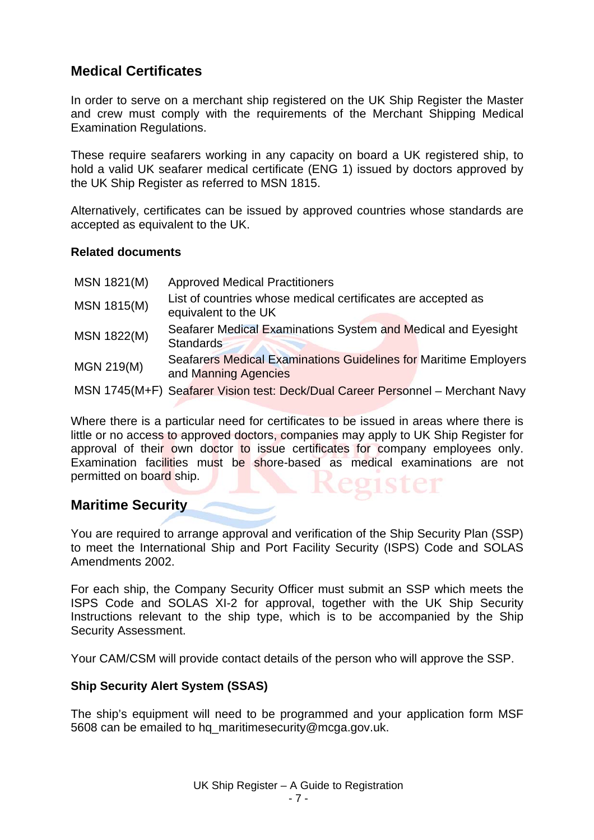## <span id="page-6-0"></span>**Medical Certificates**

In order to serve on a merchant ship registered on the UK Ship Register the Master and crew must comply with the requirements of the Merchant Shipping Medical Examination Regulations.

These require seafarers working in any capacity on board a UK registered ship, to hold a valid UK seafarer medical certificate (ENG 1) issued by doctors approved by the UK Ship Register as referred to MSN 1815.

Alternatively, certificates can be issued by approved countries whose standards are accepted as equivalent to the UK.

#### **Related documents**

| MSN 1821(M) | <b>Approved Medical Practitioners</b>                                                    |
|-------------|------------------------------------------------------------------------------------------|
| MSN 1815(M) | List of countries whose medical certificates are accepted as<br>equivalent to the UK     |
| MSN 1822(M) | Seafarer Medical Examinations System and Medical and Eyesight<br>Standards               |
| MGN 219(M)  | Seafarers Medical Examinations Guidelines for Maritime Employers<br>and Manning Agencies |
|             | MSN 1745(M+F) Seafarer Vision test: Deck/Dual Career Personnel - Merchant Navy           |

Where there is a particular need for certificates to be issued in areas where there is little or no access to approved doctors, companies may apply to UK Ship Register for approval of their own doctor to issue certificates for company employees only. Examination facilities must be shore-based as medical examinations are not permitted on board ship.

## **Maritime Security**

You are required to arrange approval and verification of the Ship Security Plan (SSP) to meet the International Ship and Port Facility Security (ISPS) Code and SOLAS Amendments 2002.

For each ship, the Company Security Officer must submit an SSP which meets the ISPS Code and SOLAS XI-2 for approval, together with the UK Ship Security Instructions relevant to the ship type, which is to be accompanied by the Ship Security Assessment.

Your CAM/CSM will provide contact details of the person who will approve the SSP.

#### **Ship Security Alert System (SSAS)**

The ship's equipment will need to be programmed and your application form MSF 5608 can be emailed to hq\_maritimesecurity@mcga.gov.uk.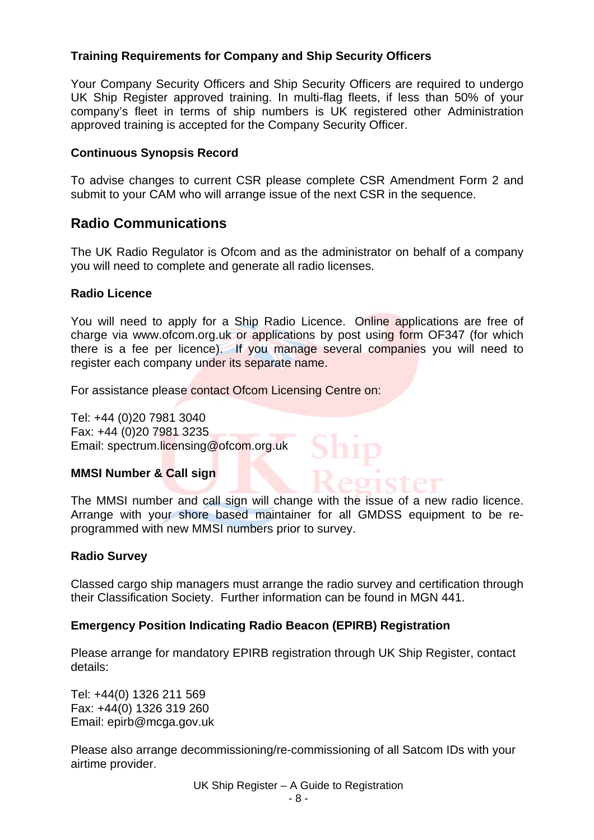## <span id="page-7-0"></span>**Training Requirements for Company and Ship Security Officers**

Your Company Security Officers and Ship Security Officers are required to undergo UK Ship Register approved training. In multi-flag fleets, if less than 50% of your company's fleet in terms of ship numbers is UK registered other Administration approved training is accepted for the Company Security Officer.

#### **Continuous Synopsis Record**

To advise changes to current CSR please complete CSR Amendment Form 2 and submit to your CAM who will arrange issue of the next CSR in the sequence.

## **Radio Communications**

The UK Radio Regulator is Ofcom and as the administrator on behalf of a company you will need to complete and generate all radio licenses.

#### **Radio Licence**

You will need to apply for a Ship Radio Licence. Online applications are free of charge via www.ofcom.org.uk or applications by post using form OF347 (for which there is a fee per licence). If you manage several companies you will need to register each company under its separate name.

For assistance please contact Ofcom Licensing Centre on:

Tel: +44 (0)20 7981 3040 Fax: +44 (0)20 7981 3235 Email: spectrum.licensing@ofcom.org.uk

#### **MMSI Number & Call sign**

The MMSI number and call sign will change with the issue of a new radio licence. Arrange with your shore based maintainer for all GMDSS equipment to be reprogrammed with new MMSI numbers prior to survey.

Shit

Register

#### **Radio Survey**

Classed cargo ship managers must arrange the radio survey and certification through their Classification Society. Further information can be found in MGN 441.

#### **Emergency Position Indicating Radio Beacon (EPIRB) Registration**

Please arrange for mandatory EPIRB registration through UK Ship Register, contact details:

Tel: +44(0) 1326 211 569 Fax: +44(0) 1326 319 260 Email: epirb@mcga.gov.uk

Please also arrange decommissioning/re-commissioning of all Satcom IDs with your airtime provider.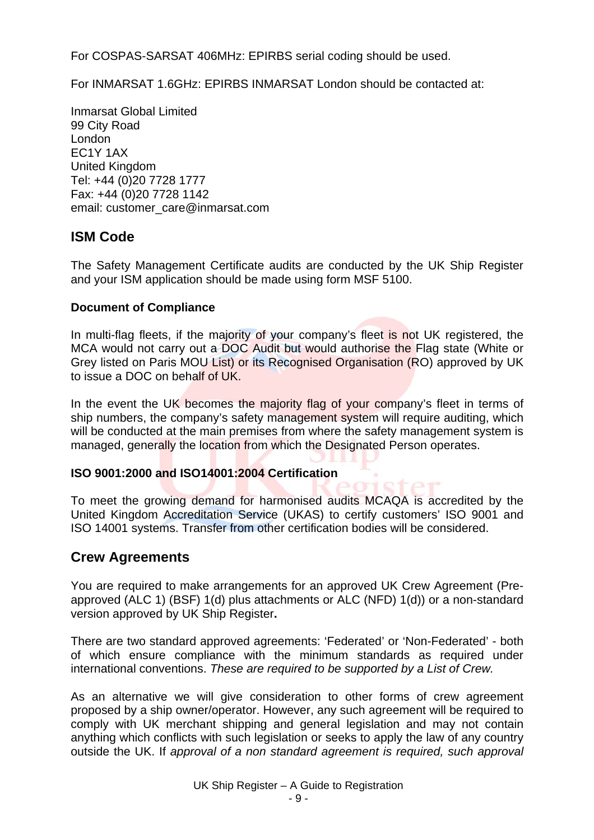<span id="page-8-0"></span>For COSPAS-SARSAT 406MHz: EPIRBS serial coding should be used.

For INMARSAT 1.6GHz: EPIRBS INMARSAT London should be contacted at:

Inmarsat Global Limited 99 City Road London EC1Y 1AX United Kingdom Tel: +44 (0)20 7728 1777 Fax: +44 (0)20 7728 1142 email: customer\_care@inmarsat.com

## **ISM Code**

The Safety Management Certificate audits are conducted by the UK Ship Register and your ISM application should be made using form MSF 5100.

## **Document of Compliance**

In multi-flag fleets, if the majority of your company's fleet is not UK registered, the MCA would not carry out a DOC Audit but would authorise the Flag state (White or Grey listed on Paris MOU List) or its Recognised Organisation (RO) approved by UK to issue a DOC on behalf of UK.

In the event the UK becomes the majority flag of your company's fleet in terms of ship numbers, the company's safety management system will require auditing, which will be conducted at the main premises from where the safety management system is managed, generally the location from which the Designated Person operates.

#### **ISO 9001:2000 and ISO14001:2004 Certification**

To meet the growing demand for harmonised audits MCAQA is accredited by the United Kingdom Accreditation Service (UKAS) to certify customers' ISO 9001 and ISO 14001 systems. Transfer from other certification bodies will be considered.

## **Crew Agreements**

You are required to make arrangements for an approved UK Crew Agreement (Preapproved (ALC 1) (BSF) 1(d) plus attachments or ALC (NFD) 1(d)) or a non-standard version approved by UK Ship Register**.**

There are two standard approved agreements: 'Federated' or 'Non-Federated' - both of which ensure compliance with the minimum standards as required under international conventions. *These are required to be supported by a List of Crew.*

As an alternative we will give consideration to other forms of crew agreement proposed by a ship owner/operator. However, any such agreement will be required to comply with UK merchant shipping and general legislation and may not contain anything which conflicts with such legislation or seeks to apply the law of any country outside the UK. If *approval of a non standard agreement is required, such approval*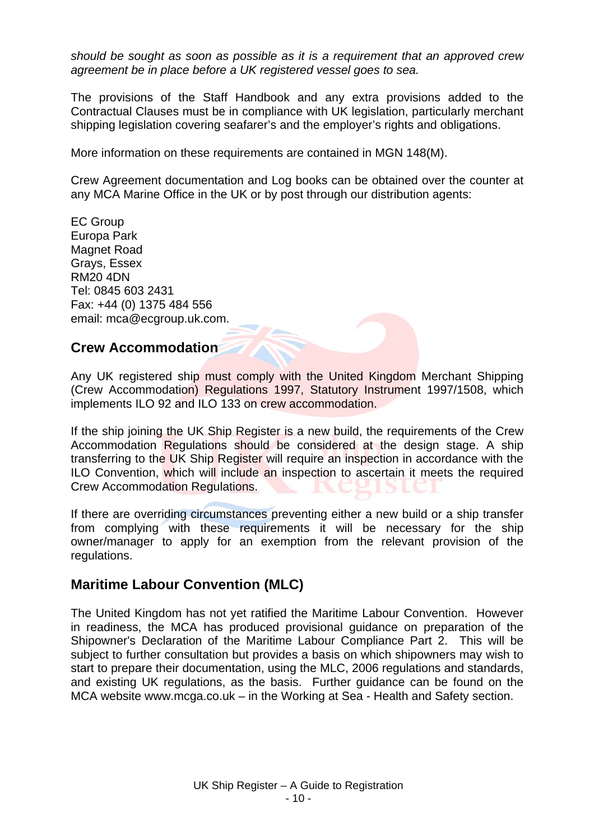<span id="page-9-0"></span>*should be sought as soon as possible as it is a requirement that an approved crew agreement be in place before a UK registered vessel goes to sea.*

The provisions of the Staff Handbook and any extra provisions added to the Contractual Clauses must be in compliance with UK legislation, particularly merchant shipping legislation covering seafarer's and the employer's rights and obligations.

More information on these requirements are contained in MGN 148(M).

Crew Agreement documentation and Log books can be obtained over the counter at any MCA Marine Office in the UK or by post through our distribution agents:

EC Group Europa Park Magnet Road Grays, Essex RM20 4DN Tel: 0845 603 2431 Fax: +44 (0) 1375 484 556 email: mca@ecgroup.uk.com.

## **Crew Accommodation**

Any UK registered ship must comply with the United Kingdom Merchant Shipping (Crew Accommodation) Regulations 1997, Statutory Instrument 1997/1508, which implements ILO 92 and ILO 133 on crew accommodation.

If the ship joining the UK Ship Register is a new build, the requirements of the Crew Accommodation Regulations should be considered at the design stage. A ship transferring to the UK Ship Register will require an inspection in accordance with the ILO Convention, which will include an inspection to ascertain it meets the required Crew Accommodation Regulations.

If there are overriding circumstances preventing either a new build or a ship transfer from complying with these requirements it will be necessary for the ship owner/manager to apply for an exemption from the relevant provision of the regulations.

## **Maritime Labour Convention (MLC)**

The United Kingdom has not yet ratified the Maritime Labour Convention. However in readiness, the MCA has produced provisional guidance on preparation of the Shipowner's Declaration of the Maritime Labour Compliance Part 2. This will be subject to further consultation but provides a basis on which shipowners may wish to start to prepare their documentation, using the MLC, 2006 regulations and standards, and existing UK regulations, as the basis. Further guidance can be found on the MCA website www.mcga.co.uk – in the Working at Sea - Health and Safety section.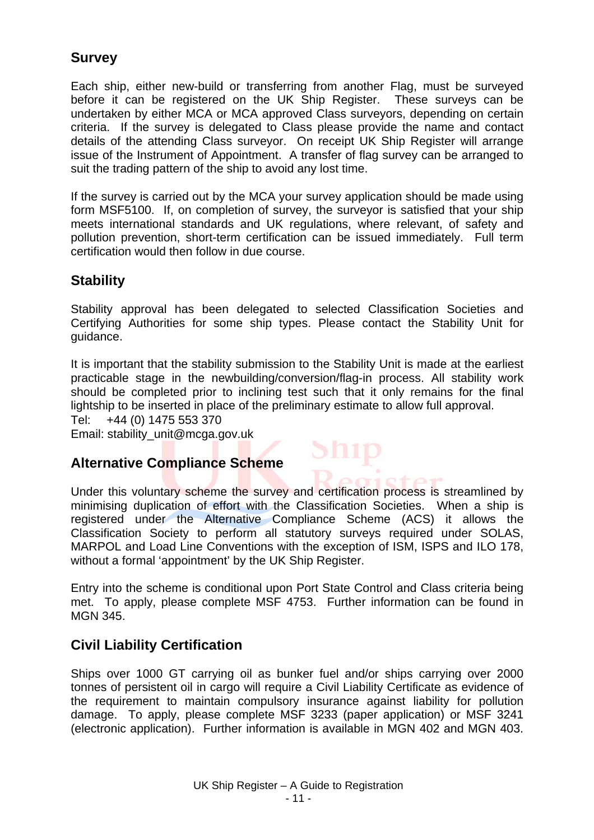## <span id="page-10-0"></span>**Survey**

Each ship, either new-build or transferring from another Flag, must be surveyed before it can be registered on the UK Ship Register. These surveys can be undertaken by either MCA or MCA approved Class surveyors, depending on certain criteria. If the survey is delegated to Class please provide the name and contact details of the attending Class surveyor. On receipt UK Ship Register will arrange issue of the Instrument of Appointment. A transfer of flag survey can be arranged to suit the trading pattern of the ship to avoid any lost time.

If the survey is carried out by the MCA your survey application should be made using form MSF5100. If, on completion of survey, the surveyor is satisfied that your ship meets international standards and UK regulations, where relevant, of safety and pollution prevention, short-term certification can be issued immediately. Full term certification would then follow in due course.

## **Stability**

Stability approval has been delegated to selected Classification Societies and Certifying Authorities for some ship types. Please contact the Stability Unit for guidance.

It is important that the stability submission to the Stability Unit is made at the earliest practicable stage in the newbuilding/conversion/flag-in process. All stability work should be completed prior to inclining test such that it only remains for the final lightship to be inserted in place of the preliminary estimate to allow full approval.

 $Sh1p$ 

 $\alpha$  and  $\alpha$  and  $\alpha$ 

Tel: +44 (0) 1475 553 370

Email: stability\_unit@mcga.gov.uk

## **Alternative Compliance Scheme**

Under this voluntary scheme the survey and certification process is streamlined by minimising duplication of effort with the Classification Societies. When a ship is registered under the Alternative Compliance Scheme (ACS) it allows the Classification Society to perform all statutory surveys required under SOLAS, MARPOL and Load Line Conventions with the exception of ISM, ISPS and ILO 178, without a formal 'appointment' by the UK Ship Register.

Entry into the scheme is conditional upon Port State Control and Class criteria being met. To apply, please complete MSF 4753. Further information can be found in MGN 345.

## **Civil Liability Certification**

Ships over 1000 GT carrying oil as bunker fuel and/or ships carrying over 2000 tonnes of persistent oil in cargo will require a Civil Liability Certificate as evidence of the requirement to maintain compulsory insurance against liability for pollution damage. To apply, please complete MSF 3233 (paper application) or MSF 3241 (electronic application). Further information is available in MGN 402 and MGN 403.